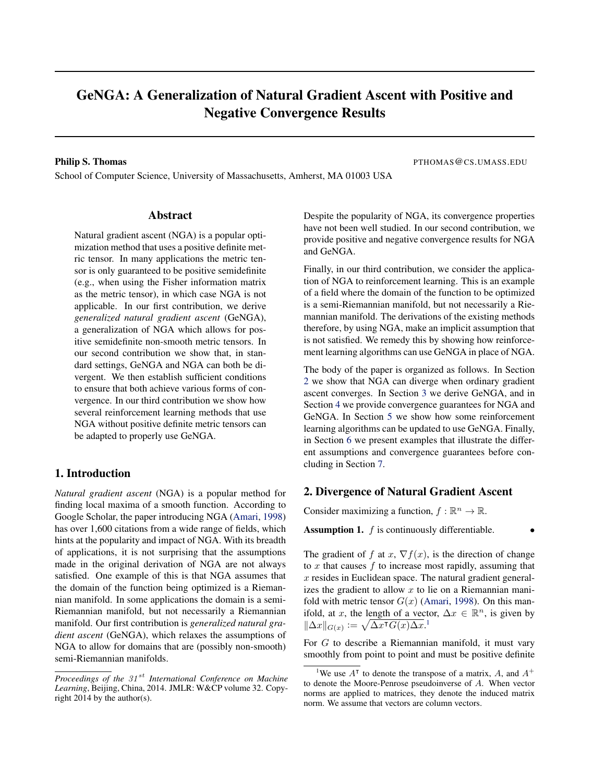# <span id="page-0-0"></span>GeNGA: A Generalization of Natural Gradient Ascent with Positive and Negative Convergence Results

School of Computer Science, University of Massachusetts, Amherst, MA 01003 USA

**Philip S. Thomas** PTHOMAS@CS.UMASS.EDU

#### Abstract

Natural gradient ascent (NGA) is a popular optimization method that uses a positive definite metric tensor. In many applications the metric tensor is only guaranteed to be positive semidefinite (e.g., when using the Fisher information matrix as the metric tensor), in which case NGA is not applicable. In our first contribution, we derive *generalized natural gradient ascent* (GeNGA), a generalization of NGA which allows for positive semidefinite non-smooth metric tensors. In our second contribution we show that, in standard settings, GeNGA and NGA can both be divergent. We then establish sufficient conditions to ensure that both achieve various forms of convergence. In our third contribution we show how several reinforcement learning methods that use NGA without positive definite metric tensors can be adapted to properly use GeNGA.

## 1. Introduction

*Natural gradient ascent* (NGA) is a popular method for finding local maxima of a smooth function. According to Google Scholar, the paper introducing NGA [\(Amari,](#page-7-0) [1998\)](#page-7-0) has over 1,600 citations from a wide range of fields, which hints at the popularity and impact of NGA. With its breadth of applications, it is not surprising that the assumptions made in the original derivation of NGA are not always satisfied. One example of this is that NGA assumes that the domain of the function being optimized is a Riemannian manifold. In some applications the domain is a semi-Riemannian manifold, but not necessarily a Riemannian manifold. Our first contribution is *generalized natural gradient ascent* (GeNGA), which relaxes the assumptions of NGA to allow for domains that are (possibly non-smooth) semi-Riemannian manifolds.

Despite the popularity of NGA, its convergence properties have not been well studied. In our second contribution, we provide positive and negative convergence results for NGA and GeNGA.

Finally, in our third contribution, we consider the application of NGA to reinforcement learning. This is an example of a field where the domain of the function to be optimized is a semi-Riemannian manifold, but not necessarily a Riemannian manifold. The derivations of the existing methods therefore, by using NGA, make an implicit assumption that is not satisfied. We remedy this by showing how reinforcement learning algorithms can use GeNGA in place of NGA.

The body of the paper is organized as follows. In Section 2 we show that NGA can diverge when ordinary gradient ascent converges. In Section [3](#page-1-0) we derive GeNGA, and in Section [4](#page-2-0) we provide convergence guarantees for NGA and GeNGA. In Section [5](#page-5-0) we show how some reinforcement learning algorithms can be updated to use GeNGA. Finally, in Section [6](#page-5-0) we present examples that illustrate the different assumptions and convergence guarantees before concluding in Section [7.](#page-7-0)

# 2. Divergence of Natural Gradient Ascent

Consider maximizing a function,  $f : \mathbb{R}^n \to \mathbb{R}$ .

**Assumption 1.**  $f$  is continuously differentiable.

The gradient of f at x,  $\nabla f(x)$ , is the direction of change to  $x$  that causes  $f$  to increase most rapidly, assuming that  $x$  resides in Euclidean space. The natural gradient generalizes the gradient to allow  $x$  to lie on a Riemannian manifold with metric tensor  $G(x)$  [\(Amari,](#page-7-0) [1998\)](#page-7-0). On this manifold, at x, the length of a vector,  $\Delta x \in \mathbb{R}^n$ , is given by  $\|\Delta x\|_{G(x)} := \sqrt{\Delta x^{\intercal} G(x) \Delta x}$ <sup>1</sup>

For G to describe a Riemannian manifold, it must vary smoothly from point to point and must be positive definite

*Proceedings of the 31<sup>st</sup> International Conference on Machine Learning*, Beijing, China, 2014. JMLR: W&CP volume 32. Copyright 2014 by the author(s).

<sup>&</sup>lt;sup>1</sup>We use  $A^{\dagger}$  to denote the transpose of a matrix, A, and  $A^+$ to denote the Moore-Penrose pseudoinverse of A. When vector norms are applied to matrices, they denote the induced matrix norm. We assume that vectors are column vectors.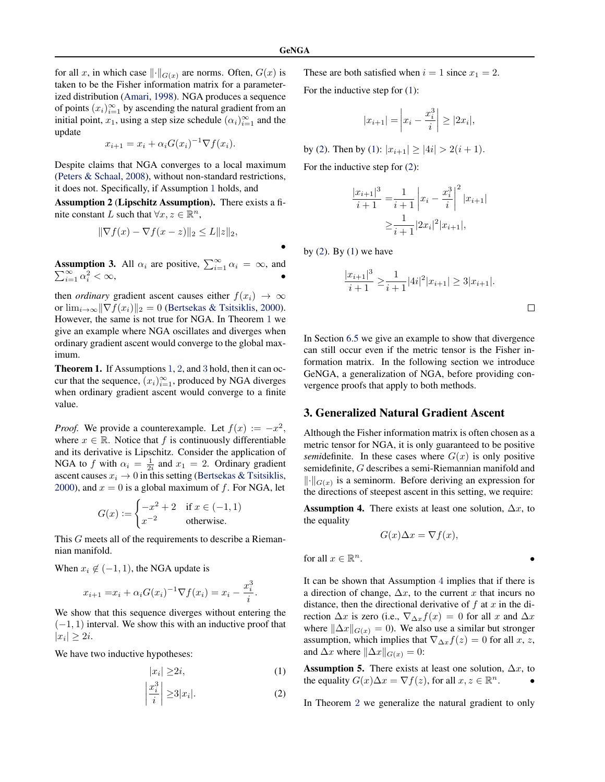•

<span id="page-1-0"></span>for all x, in which case  $\lVert \cdot \rVert_{G(x)}$  are norms. Often,  $G(x)$  is taken to be the Fisher information matrix for a parameterized distribution [\(Amari,](#page-7-0) [1998\)](#page-7-0). NGA produces a sequence of points  $(x_i)_{i=1}^{\infty}$  by ascending the natural gradient from an initial point,  $x_1$ , using a step size schedule  $(\alpha_i)_{i=1}^{\infty}$  and the update

$$
x_{i+1} = x_i + \alpha_i G(x_i)^{-1} \nabla f(x_i).
$$

Despite claims that NGA converges to a local maximum [\(Peters & Schaal,](#page-8-0) [2008\)](#page-8-0), without non-standard restrictions, it does not. Specifically, if Assumption [1](#page-0-0) holds, and

Assumption 2 (Lipschitz Assumption). There exists a finite constant L such that  $\forall x, z \in \mathbb{R}^n$ ,

$$
\|\nabla f(x) - \nabla f(x - z)\|_2 \le L \|z\|_2,
$$

**Assumption 3.** All  $\alpha_i$  are positive,  $\sum_{i=1}^{\infty} \alpha_i = \infty$ , and  $\sum_{i=1}^{\infty} \hat{\alpha}_i^2 < \infty,$ 

then *ordinary* gradient ascent causes either  $f(x_i) \rightarrow \infty$ or  $\lim_{i\to\infty} \|\nabla f(x_i)\|_2 = 0$  [\(Bertsekas & Tsitsiklis,](#page-8-0) [2000\)](#page-8-0). However, the same is not true for NGA. In Theorem 1 we give an example where NGA oscillates and diverges when ordinary gradient ascent would converge to the global maximum.

Theorem 1. If Assumptions [1](#page-0-0), 2, and 3 hold, then it can occur that the sequence,  $(x_i)_{i=1}^{\infty}$ , produced by NGA diverges when ordinary gradient ascent would converge to a finite value.

*Proof.* We provide a counterexample. Let  $f(x) := -x^2$ , where  $x \in \mathbb{R}$ . Notice that f is continuously differentiable and its derivative is Lipschitz. Consider the application of NGA to f with  $\alpha_i = \frac{1}{2i}$  and  $x_1 = 2$ . Ordinary gradient ascent causes  $x_i \rightarrow 0$  in this setting [\(Bertsekas & Tsitsiklis,](#page-8-0) [2000\)](#page-8-0), and  $x = 0$  is a global maximum of f. For NGA, let

$$
G(x) := \begin{cases} -x^2 + 2 & \text{if } x \in (-1, 1) \\ x^{-2} & \text{otherwise.} \end{cases}
$$

This G meets all of the requirements to describe a Riemannian manifold.

When  $x_i \notin (-1, 1)$ , the NGA update is

$$
x_{i+1} = x_i + \alpha_i G(x_i)^{-1} \nabla f(x_i) = x_i - \frac{x_i^3}{i}.
$$

We show that this sequence diverges without entering the  $(-1, 1)$  interval. We show this with an inductive proof that  $|x_i| \geq 2i$ .

We have two inductive hypotheses:

$$
|x_i| \ge 2i,\tag{1}
$$

$$
\left|\frac{x_i^3}{i}\right| \ge 3|x_i|.\tag{2}
$$

These are both satisfied when  $i = 1$  since  $x_1 = 2$ .

For the inductive step for (1):

$$
|x_{i+1}| = |x_i - \frac{x_i^3}{i}| \ge |2x_i|,
$$

by (2). Then by (1):  $|x_{i+1}| \ge |4i| > 2(i+1)$ .

For the inductive step for (2):

$$
\frac{|x_{i+1}|^3}{i+1} = \frac{1}{i+1} \left| x_i - \frac{x_i^3}{i} \right|^2 |x_{i+1}|
$$

$$
\geq \frac{1}{i+1} |2x_i|^2 |x_{i+1}|,
$$

by  $(2)$ . By  $(1)$  we have

$$
\frac{|x_{i+1}|^3}{i+1} \ge \frac{1}{i+1} |4i|^2 |x_{i+1}| \ge 3|x_{i+1}|.
$$

In Section [6.5](#page-7-0) we give an example to show that divergence can still occur even if the metric tensor is the Fisher information matrix. In the following section we introduce GeNGA, a generalization of NGA, before providing convergence proofs that apply to both methods.

## 3. Generalized Natural Gradient Ascent

Although the Fisher information matrix is often chosen as a metric tensor for NGA, it is only guaranteed to be positive *semi*definite. In these cases where  $G(x)$  is only positive semidefinite, G describes a semi-Riemannian manifold and  $\|\cdot\|_{G(x)}$  is a seminorm. Before deriving an expression for the directions of steepest ascent in this setting, we require:

Assumption 4. There exists at least one solution,  $\Delta x$ , to the equality

$$
G(x)\Delta x = \nabla f(x),
$$

for all  $x \in \mathbb{R}^n$ .  $n$ .

It can be shown that Assumption 4 implies that if there is a direction of change,  $\Delta x$ , to the current x that incurs no distance, then the directional derivative of  $f$  at  $x$  in the direction  $\Delta x$  is zero (i.e.,  $\nabla_{\Delta x} f(x) = 0$  for all x and  $\Delta x$ where  $\|\Delta x\|_{G(x)} = 0$ . We also use a similar but stronger assumption, which implies that  $\nabla_{\Delta x} f(z) = 0$  for all x, z, and  $\Delta x$  where  $\|\Delta x\|_{G(x)} = 0$ :

Assumption 5. There exists at least one solution,  $\Delta x$ , to the equality  $G(x)\Delta x = \nabla f(z)$ , for all  $x, z \in \mathbb{R}^n$ .  $\bullet$ 

In Theorem [2](#page-2-0) we generalize the natural gradient to only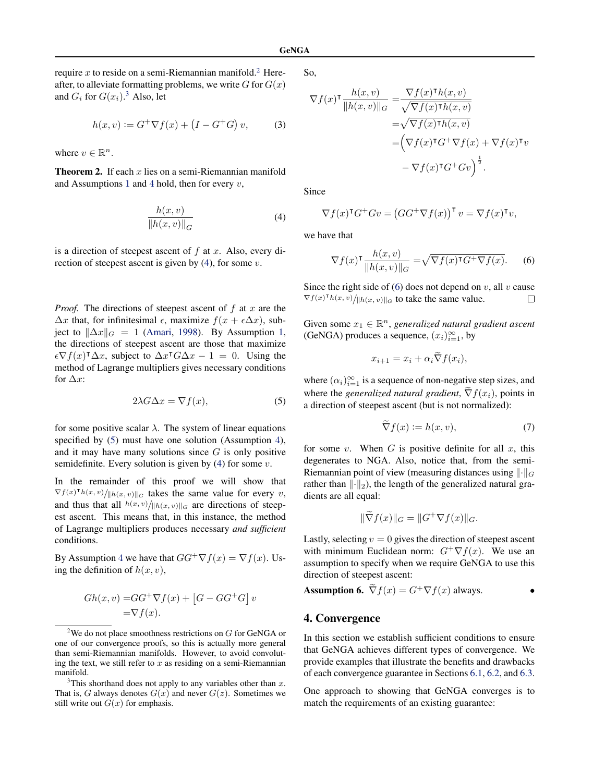<span id="page-2-0"></span>require x to reside on a semi-Riemannian manifold.<sup>2</sup> Hereafter, to alleviate formatting problems, we write  $G$  for  $G(x)$ and  $G_i$  for  $G(x_i)$ .<sup>3</sup> Also, let

$$
h(x, v) := G^{+} \nabla f(x) + (I - G^{+} G) v,
$$
 (3)

where  $v \in \mathbb{R}^n$ .

**Theorem 2.** If each x lies on a semi-Riemannian manifold and Assumptions [1](#page-0-0) and [4](#page-1-0) hold, then for every  $v$ ,

$$
\frac{h(x,v)}{\|h(x,v)\|_G} \tag{4}
$$

is a direction of steepest ascent of  $f$  at  $x$ . Also, every direction of steepest ascent is given by  $(4)$ , for some v.

*Proof.* The directions of steepest ascent of  $f$  at  $x$  are the  $\Delta x$  that, for infinitesimal  $\epsilon$ , maximize  $f(x + \epsilon \Delta x)$ , subject to  $\|\Delta x\|_G = 1$  [\(Amari,](#page-7-0) [1998\)](#page-7-0). By Assumption [1,](#page-0-0) the directions of steepest ascent are those that maximize  $\epsilon \nabla f(x)^\intercal \Delta x$ , subject to  $\Delta x^\intercal G \Delta x - 1 = 0$ . Using the method of Lagrange multipliers gives necessary conditions for  $\Delta x$ :

$$
2\lambda G \Delta x = \nabla f(x),\tag{5}
$$

for some positive scalar  $\lambda$ . The system of linear equations specified by  $(5)$  must have one solution (Assumption [4](#page-1-0)), and it may have many solutions since  $G$  is only positive semidefinite. Every solution is given by  $(4)$  for some v.

In the remainder of this proof we will show that  $\nabla f(x)^\dagger h(x,v) / ||h(x,v)||_G$  takes the same value for every v, and thus that all  $h(x, v)/||h(x, v)||_G$  are directions of steepest ascent. This means that, in this instance, the method of Lagrange multipliers produces necessary *and sufficient* conditions.

By Assumption [4](#page-1-0) we have that  $GG^{+}\nabla f(x) = \nabla f(x)$ . Using the definition of  $h(x, v)$ ,

$$
Gh(x, v) = GG^+ \nabla f(x) + [G - GG^+ G] v
$$
  
=  $\nabla f(x)$ .

So,

$$
\nabla f(x)^{\mathsf{T}} \frac{h(x,v)}{\|h(x,v)\|_{G}} = \frac{\nabla f(x)^{\mathsf{T}} h(x,v)}{\sqrt{\nabla f(x)^{\mathsf{T}} h(x,v)}}
$$

$$
= \sqrt{\nabla f(x)^{\mathsf{T}} h(x,v)}
$$

$$
= \left(\nabla f(x)^{\mathsf{T}} G^{+} \nabla f(x) + \nabla f(x)^{\mathsf{T}} v
$$

$$
- \nabla f(x)^{\mathsf{T}} G^{+} G v\right)^{\frac{1}{2}}.
$$

Since

$$
\nabla f(x)^{\mathsf{T}} G^+ G v = \left( G G^+ \nabla f(x) \right)^{\mathsf{T}} v = \nabla f(x)^{\mathsf{T}} v,
$$

we have that

$$
\nabla f(x)^{\mathsf{T}} \frac{h(x,v)}{\|h(x,v)\|_{G}} = \sqrt{\nabla f(x)^{\mathsf{T}} G^{+} \nabla f(x)}.
$$
 (6)

Since the right side of (6) does not depend on  $v$ , all  $v$  cause  $\nabla f(x)^\intercal h(x, v) / ||h(x, v)||_G$  to take the same value.  $\Box$ 

Given some  $x_1 \in \mathbb{R}^n$ , *generalized natural gradient ascent* (GeNGA) produces a sequence,  $(x_i)_{i=1}^{\infty}$ , by

$$
x_{i+1} = x_i + \alpha_i \widetilde{\nabla} f(x_i),
$$

where  $(\alpha_i)_{i=1}^{\infty}$  is a sequence of non-negative step sizes, and where the *generalized natural gradient*,  $\tilde{\nabla} f(x_i)$ , points in a direction of steepest ascent (but is not normalized):

$$
\nabla f(x) := h(x, v),\tag{7}
$$

for some v. When  $G$  is positive definite for all  $x$ , this degenerates to NGA. Also, notice that, from the semi-Riemannian point of view (measuring distances using  $\lVert \cdot \rVert_G$ rather than  $\|\cdot\|_2$ , the length of the generalized natural gradients are all equal:

$$
\|\widetilde{\nabla}f(x)\|_{G} = \|G^{+}\nabla f(x)\|_{G}.
$$

Lastly, selecting  $v = 0$  gives the direction of steepest ascent with minimum Euclidean norm:  $G^+\nabla f(x)$ . We use an assumption to specify when we require GeNGA to use this direction of steepest ascent:

**Assumption 6.** 
$$
\tilde{\nabla} f(x) = G^+ \nabla f(x)
$$
 always.

# 4. Convergence

In this section we establish sufficient conditions to ensure that GeNGA achieves different types of convergence. We provide examples that illustrate the benefits and drawbacks of each convergence guarantee in Sections [6.1,](#page-5-0) [6.2,](#page-6-0) and [6.3.](#page-6-0)

One approach to showing that GeNGA converges is to match the requirements of an existing guarantee:

<sup>&</sup>lt;sup>2</sup>We do not place smoothness restrictions on  $G$  for GeNGA or one of our convergence proofs, so this is actually more general than semi-Riemannian manifolds. However, to avoid convoluting the text, we still refer to  $x$  as residing on a semi-Riemannian manifold.

This shorthand does not apply to any variables other than  $x$ . That is, G always denotes  $G(x)$  and never  $G(z)$ . Sometimes we still write out  $G(x)$  for emphasis.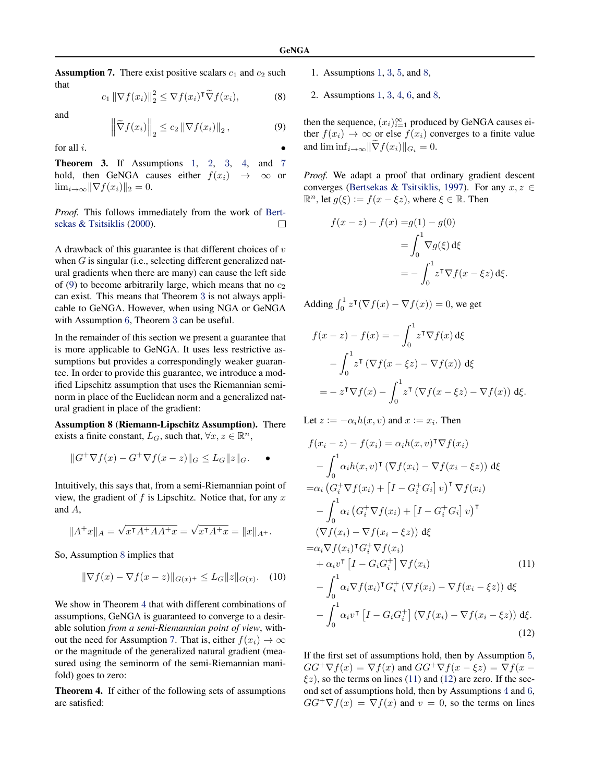<span id="page-3-0"></span>**Assumption 7.** There exist positive scalars  $c_1$  and  $c_2$  such that

$$
c_1 \|\nabla f(x_i)\|_2^2 \le \nabla f(x_i)^\mathsf{T} \widetilde{\nabla} f(x_i),\tag{8}
$$

and

$$
\left\|\widetilde{\nabla}f(x_i)\right\|_2 \le c_2 \left\|\nabla f(x_i)\right\|_2, \tag{9}
$$

for all  $i$ .

Theorem 3. If Assumptions [1](#page-0-0), [2](#page-1-0), [3](#page-1-0), [4](#page-1-0), and 7 hold, then GeNGA causes either  $f(x_i) \rightarrow \infty$  or  $\lim_{i\to\infty} \|\nabla f(x_i)\|_2 = 0.$ 

*Proof.* This follows immediately from the work of [Bert](#page-8-0)[sekas & Tsitsiklis](#page-8-0) [\(2000\)](#page-8-0). П

A drawback of this guarantee is that different choices of  $v$ when  $G$  is singular (i.e., selecting different generalized natural gradients when there are many) can cause the left side of (9) to become arbitrarily large, which means that no  $c_2$ can exist. This means that Theorem 3 is not always applicable to GeNGA. However, when using NGA or GeNGA with Assumption [6](#page-2-0), Theorem 3 can be useful.

In the remainder of this section we present a guarantee that is more applicable to GeNGA. It uses less restrictive assumptions but provides a correspondingly weaker guarantee. In order to provide this guarantee, we introduce a modified Lipschitz assumption that uses the Riemannian seminorm in place of the Euclidean norm and a generalized natural gradient in place of the gradient:

Assumption 8 (Riemann-Lipschitz Assumption). There exists a finite constant,  $L_G$ , such that,  $\forall x, z \in \mathbb{R}^n$ ,

$$
||G^+\nabla f(x) - G^+\nabla f(x-z)||_G \le L_G ||z||_G.
$$

Intuitively, this says that, from a semi-Riemannian point of view, the gradient of f is Lipschitz. Notice that, for any  $x$ and A,

$$
||A^+x||_A = \sqrt{x^{\mathsf{T}}A^+AA^+x} = \sqrt{x^{\mathsf{T}}A^+x} = ||x||_{A^+}.
$$

So, Assumption 8 implies that

$$
\|\nabla f(x) - \nabla f(x - z)\|_{G(x)^+} \le L_G \|z\|_{G(x)}.
$$
 (10)

We show in Theorem 4 that with different combinations of assumptions, GeNGA is guaranteed to converge to a desirable solution *from a semi-Riemannian point of view*, without the need for Assumption 7. That is, either  $f(x_i) \to \infty$ or the magnitude of the generalized natural gradient (measured using the seminorm of the semi-Riemannian manifold) goes to zero:

Theorem 4. If either of the following sets of assumptions are satisfied:

- 1. Assumptions [1](#page-0-0), [3](#page-1-0), [5](#page-1-0), and 8,
- 2. Assumptions [1](#page-0-0), [3](#page-1-0), [4](#page-1-0), [6](#page-2-0), and 8,

then the sequence,  $(x_i)_{i=1}^{\infty}$  produced by GeNGA causes either  $f(x_i) \to \infty$  or else  $f(x_i)$  converges to a finite value and  $\liminf_{i\to\infty} \|\nabla f(x_i)\|_{G_i} = 0.$ 

*Proof.* We adapt a proof that ordinary gradient descent converges [\(Bertsekas & Tsitsiklis,](#page-8-0) [1997\)](#page-8-0). For any  $x, z \in$  $\mathbb{R}^n$ , let  $g(\xi) := f(x - \xi z)$ , where  $\xi \in \mathbb{R}$ . Then

$$
f(x - z) - f(x) = g(1) - g(0)
$$

$$
= \int_0^1 \nabla g(\xi) d\xi
$$

$$
= -\int_0^1 z^{\mathsf{T}} \nabla f(x - \xi z) d\xi.
$$

Adding  $\int_0^1 z^{\intercal} (\nabla f(x) - \nabla f(x)) = 0$ , we get

$$
f(x - z) - f(x) = -\int_0^1 z^{\mathsf{T}} \nabla f(x) \,d\xi
$$

$$
-\int_0^1 z^{\mathsf{T}} \left( \nabla f(x - \xi z) - \nabla f(x) \right) \,d\xi
$$

$$
= -z^{\mathsf{T}} \nabla f(x) - \int_0^1 z^{\mathsf{T}} \left( \nabla f(x - \xi z) - \nabla f(x) \right) \,d\xi.
$$

Let  $z := -\alpha_i h(x, v)$  and  $x := x_i$ . Then

$$
f(x_i - z) - f(x_i) = \alpha_i h(x, v)^{\mathsf{T}} \nabla f(x_i)
$$
  
\n
$$
- \int_0^1 \alpha_i h(x, v)^{\mathsf{T}} (\nabla f(x_i) - \nabla f(x_i - \xi z)) d\xi
$$
  
\n
$$
= \alpha_i (G_i^+ \nabla f(x_i) + [I - G_i^+ G_i] v)^{\mathsf{T}} \nabla f(x_i)
$$
  
\n
$$
- \int_0^1 \alpha_i (G_i^+ \nabla f(x_i) + [I - G_i^+ G_i] v)^{\mathsf{T}}
$$
  
\n
$$
(\nabla f(x_i) - \nabla f(x_i - \xi z)) d\xi
$$
  
\n
$$
= \alpha_i \nabla f(x_i)^{\mathsf{T}} G_i^+ \nabla f(x_i)
$$
  
\n
$$
+ \alpha_i v^{\mathsf{T}} [I - G_i G_i^+] \nabla f(x_i)
$$
  
\n
$$
- \int_0^1 \alpha_i \nabla f(x_i)^{\mathsf{T}} G_i^+ (\nabla f(x_i) - \nabla f(x_i - \xi z)) d\xi
$$
  
\n
$$
- \int_0^1 \alpha_i v^{\mathsf{T}} [I - G_i G_i^+] (\nabla f(x_i) - \nabla f(x_i - \xi z)) d\xi.
$$
  
\n(12)

If the first set of assumptions hold, then by Assumption [5](#page-1-0),  $GG^{+}\nabla f(x) = \nabla f(x)$  and  $GG^{+}\nabla f(x - \xi z) = \nabla f(x - \xi z)$  $\xi$ z), so the terms on lines (11) and (12) are zero. If the second set of assumptions hold, then by Assumptions [4](#page-1-0) and [6](#page-2-0),  $GG^{+}\nabla f(x) = \nabla f(x)$  and  $v = 0$ , so the terms on lines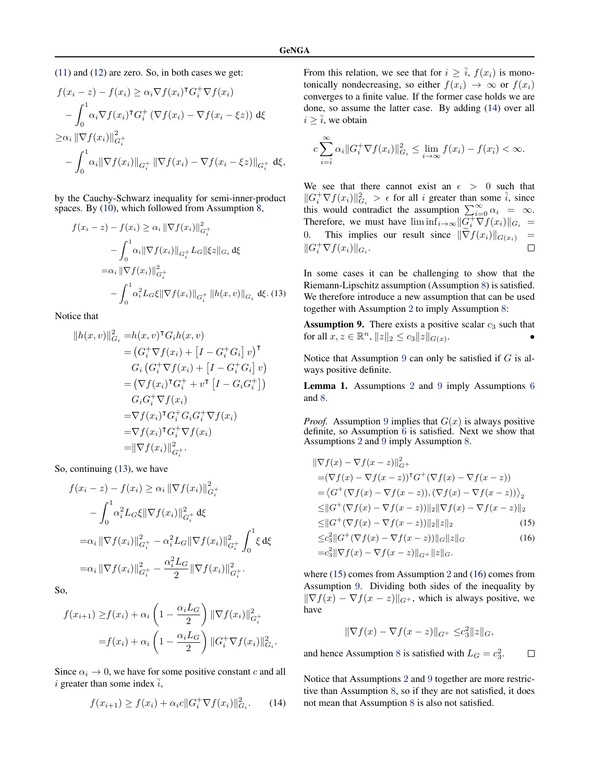<span id="page-4-0"></span>[\(11\)](#page-3-0) and [\(12\)](#page-3-0) are zero. So, in both cases we get:

$$
f(x_i - z) - f(x_i) \ge \alpha_i \nabla f(x_i)^{\mathsf{T}} G_i^+ \nabla f(x_i)
$$
  

$$
- \int_0^1 \alpha_i \nabla f(x_i)^{\mathsf{T}} G_i^+ (\nabla f(x_i) - \nabla f(x_i - \xi z)) \, d\xi
$$
  

$$
\ge \alpha_i \|\nabla f(x_i)\|_{G_i^+}^2
$$
  

$$
- \int_0^1 \alpha_i \|\nabla f(x_i)\|_{G_i^+} \|\nabla f(x_i) - \nabla f(x_i - \xi z)\|_{G_i^+} \, d\xi,
$$

by the Cauchy-Schwarz inequality for semi-inner-product spaces. By  $(10)$ , which followed from Assumption  $\overline{8}$ ,

$$
f(x_i - z) - f(x_i) \ge \alpha_i \|\nabla f(x_i)\|_{G_i^+}^2
$$
  

$$
- \int_0^1 \alpha_i \|\nabla f(x_i)\|_{G_i^+} L_G \|\xi z\|_{G_i} d\xi
$$
  

$$
= \alpha_i \|\nabla f(x_i)\|_{G_i^+}^2
$$
  

$$
- \int_0^1 \alpha_i^2 L_G \xi \|\nabla f(x_i)\|_{G_i^+} \|h(x, v)\|_{G_i} d\xi. (13)
$$

Notice that

$$
||h(x, v)||_{G_i}^2 = h(x, v)^{\mathsf{T}} G_i h(x, v)
$$
  
\n
$$
= (G_i^+ \nabla f(x_i) + [I - G_i^+ G_i] v)^{\mathsf{T}}
$$
  
\n
$$
G_i (G_i^+ \nabla f(x_i) + [I - G_i^+ G_i] v)
$$
  
\n
$$
= (\nabla f(x_i)^{\mathsf{T}} G_i^+ + v^{\mathsf{T}} [I - G_i G_i^+])
$$
  
\n
$$
G_i G_i^+ \nabla f(x_i)
$$
  
\n
$$
= \nabla f(x_i)^{\mathsf{T}} G_i^+ G_i G_i^+ \nabla f(x_i)
$$
  
\n
$$
= \nabla f(x_i)^{\mathsf{T}} G_i^+ \nabla f(x_i)
$$
  
\n
$$
= ||\nabla f(x_i)||_{G_i^+}^2.
$$

So, continuing (13), we have

$$
f(x_i - z) - f(x_i) \ge \alpha_i \|\nabla f(x_i)\|_{G_i^+}^2
$$
  

$$
- \int_0^1 \alpha_i^2 L_G \xi \|\nabla f(x_i)\|_{G_i^+}^2 d\xi
$$
  

$$
= \alpha_i \|\nabla f(x_i)\|_{G_i^+}^2 - \alpha_i^2 L_G \|\nabla f(x_i)\|_{G_i^+}^2 \int_0^1 \xi d\xi
$$
  

$$
= \alpha_i \|\nabla f(x_i)\|_{G_i^+}^2 - \frac{\alpha_i^2 L_G}{2} \|\nabla f(x_i)\|_{G_i^+}^2.
$$

So,

$$
f(x_{i+1}) \ge f(x_i) + \alpha_i \left(1 - \frac{\alpha_i L_G}{2}\right) \|\nabla f(x_i)\|_{G_i^+}^2
$$

$$
= f(x_i) + \alpha_i \left(1 - \frac{\alpha_i L_G}{2}\right) \|G_i^+ \nabla f(x_i)\|_{G_i}^2.
$$

Since  $\alpha_i \to 0$ , we have for some positive constant c and all i greater than some index  $\overline{i}$ ,

$$
f(x_{i+1}) \ge f(x_i) + \alpha_i c ||G_i^+ \nabla f(x_i)||_{G_i}^2. \tag{14}
$$

From this relation, we see that for  $i \geq \overline{i}$ ,  $f(x_i)$  is monotonically nondecreasing, so either  $f(x_i) \rightarrow \infty$  or  $f(x_i)$ converges to a finite value. If the former case holds we are done, so assume the latter case. By adding (14) over all  $i \geq \overline{i}$ , we obtain

$$
c\sum_{i=\overline{i}}^{\infty} \alpha_i \|G_i^+ \nabla f(x_i)\|_{G_i}^2 \le \lim_{i \to \infty} f(x_i) - f(x_{\overline{i}}) < \infty.
$$

We see that there cannot exist an  $\epsilon > 0$  such that  $||G_i^+\nabla f(x_i)||_{G_i}^2 > \epsilon$  for all i greater than some  $\hat{i}$ , since this would contradict the assumption  $\sum_{i=0}^{\infty} \alpha_i = \infty$ . Therefore, we must have  $\liminf_{i \to \infty} \|\overrightarrow{G}_i^+ \nabla f(x_i)\|_{G_i} =$ 0. This implies our result since  $\|\nabla f(x_i)\|_{G(x_i)} = \|G_{\tau}^+\nabla f(x_i)\|_{G(x_i)}$  $||G_i^+\nabla f(x_i)||_{G_i}.$ 

In some cases it can be challenging to show that the Riemann-Lipschitz assumption (Assumption [8](#page-3-0)) is satisfied. We therefore introduce a new assumption that can be used together with Assumption [2](#page-1-0) to imply Assumption [8](#page-3-0):

**Assumption 9.** There exists a positive scalar  $c_3$  such that for all  $x, z \in \mathbb{R}^n$ ,  $||z||_2 \le c_3 ||z||_{G(x)}$ .  $\bullet$ 

Notice that Assumption 9 can only be satisfied if  $G$  is always positive definite.

Lemma 1. Assumptions [2](#page-1-0) and 9 imply Assumptions [6](#page-2-0) and [8](#page-3-0).

*Proof.* Assumption 9 implies that  $G(x)$  is always positive definite, so Assumption  $\overline{6}$  $\overline{6}$  $\overline{6}$  is satisfied. Next we show that Assumptions [2](#page-1-0) and 9 imply Assumption [8](#page-3-0).

$$
\|\nabla f(x) - \nabla f(x - z)\|_{G^+}^2
$$
  
=\langle \nabla f(x) - \nabla f(x - z) \rangle^T G^+(\nabla f(x) - \nabla f(x - z))  
=\langle G^+(\nabla f(x) - \nabla f(x - z)), (\nabla f(x) - \nabla f(x - z)) \rangle\_2  
\leq ||G^+(\nabla f(x) - \nabla f(x - z))||\_2 ||\nabla f(x) - \nabla f(x - z)||\_2  
\leq ||G^+(\nabla f(x) - \nabla f(x - z))||\_2 ||z||\_2 \tag{15}  
<\langle \nabla^2 ||G^+(\nabla f(x) - \nabla f(x - z))||\_2 ||z||\_2 \tag{16}

$$
\leq c_3^2 \|G^+(\nabla f(x) - \nabla f(x - z))\|_{G} \|z\|_{G}
$$
  
=  $c_3^2 \|\nabla f(x) - \nabla f(x - z)\|_{G^+} \|z\|_{G}.$  (16)

where (15) comes from Assumption [2](#page-1-0) and (16) comes from Assumption 9. Dividing both sides of the inequality by  $\|\nabla f(x) - \nabla f(x - z)\|_{G^+}$ , which is always positive, we have

$$
\|\nabla f(x) - \nabla f(x - z)\|_{G^+} \leq c_3^2 \|z\|_G,
$$

and hence Assumption [8](#page-3-0) is satisfied with  $L_G = c_3^2$ .  $\Box$ 

Notice that Assumptions [2](#page-1-0) and 9 together are more restrictive than Assumption [8](#page-3-0), so if they are not satisfied, it does not mean that Assumption [8](#page-3-0) is also not satisfied.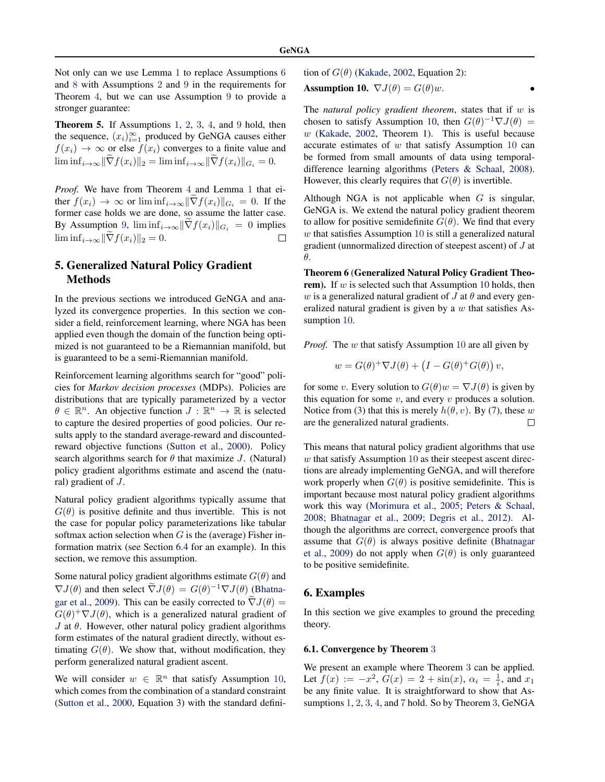<span id="page-5-0"></span>Not only can we use Lemma [1](#page-4-0) to replace Assumptions [6](#page-2-0) and [8](#page-3-0) with Assumptions [2](#page-1-0) and [9](#page-4-0) in the requirements for Theorem [4](#page-3-0), but we can use Assumption [9](#page-4-0) to provide a stronger guarantee:

Theorem 5. If Assumptions [1](#page-0-0), [2](#page-1-0), [3](#page-1-0), [4](#page-1-0), and [9](#page-4-0) hold, then the sequence,  $(x_i)_{i=1}^{\infty}$  produced by GeNGA causes either  $f(x_i) \rightarrow \infty$  or else  $f(x_i)$  converges to a finite value and  $\liminf_{i\to\infty} \|\widetilde{\nabla} f(x_i)\|_2 = \liminf_{i\to\infty} \|\widetilde{\nabla} f(x_i)\|_{G_i} = 0.$ 

*Proof.* We have from Theorem [4](#page-3-0) and Lemma [1](#page-4-0) that either  $f(x_i) \to \infty$  or  $\liminf_{i \to \infty} \|\widetilde{\nabla} f(x_i)\|_{G_i} = 0$ . If the former case holds we are done, so assume the latter case. By Assumption [9](#page-4-0),  $\liminf_{i\to\infty} \|\widetilde{\nabla} f(x_i)\|_{G_i} = 0$  implies  $\liminf_{i\to\infty} \|\widetilde{\nabla} f(x_i)\|_{G_i} = 0$  $\liminf_{i\to\infty} \|\nabla f(x_i)\|_2 = 0.$ 

# 5. Generalized Natural Policy Gradient **Methods**

In the previous sections we introduced GeNGA and analyzed its convergence properties. In this section we consider a field, reinforcement learning, where NGA has been applied even though the domain of the function being optimized is not guaranteed to be a Riemannian manifold, but is guaranteed to be a semi-Riemannian manifold.

Reinforcement learning algorithms search for "good" policies for *Markov decision processes* (MDPs). Policies are distributions that are typically parameterized by a vector  $\theta \in \mathbb{R}^n$ . An objective function  $J : \mathbb{R}^n \to \mathbb{R}$  is selected to capture the desired properties of good policies. Our results apply to the standard average-reward and discountedreward objective functions [\(Sutton et al.,](#page-8-0) [2000\)](#page-8-0). Policy search algorithms search for  $\theta$  that maximize J. (Natural) policy gradient algorithms estimate and ascend the (natural) gradient of J.

Natural policy gradient algorithms typically assume that  $G(\theta)$  is positive definite and thus invertible. This is not the case for popular policy parameterizations like tabular softmax action selection when  $G$  is the (average) Fisher information matrix (see Section [6.4](#page-6-0) for an example). In this section, we remove this assumption.

Some natural policy gradient algorithms estimate  $G(\theta)$  and  $\nabla J(\theta)$  and then select  $\tilde{\nabla}J(\theta) = G(\theta)^{-1}\nabla J(\theta)$  [\(Bhatna](#page-8-0)[gar et al.,](#page-8-0) [2009\)](#page-8-0). This can be easily corrected to  $\nabla J(\theta) =$  $G(\theta)^+ \nabla J(\theta)$ , which is a generalized natural gradient of J at  $θ$ . However, other natural policy gradient algorithms form estimates of the natural gradient directly, without estimating  $G(\theta)$ . We show that, without modification, they perform generalized natural gradient ascent.

We will consider  $w \in \mathbb{R}^n$  that satisfy Assumption 10, which comes from the combination of a standard constraint [\(Sutton et al.,](#page-8-0) [2000,](#page-8-0) Equation 3) with the standard definition of  $G(\theta)$  [\(Kakade,](#page-8-0) [2002,](#page-8-0) Equation 2):

**Assumption 10.** 
$$
\nabla J(\theta) = G(\theta)w
$$
.

The *natural policy gradient theorem*, states that if w is chosen to satisfy Assumption 10, then  $G(\theta)^{-1} \nabla J(\theta) =$  $w$  [\(Kakade,](#page-8-0) [2002,](#page-8-0) Theorem 1). This is useful because accurate estimates of  $w$  that satisfy Assumption 10 can be formed from small amounts of data using temporaldifference learning algorithms [\(Peters & Schaal,](#page-8-0) [2008\)](#page-8-0). However, this clearly requires that  $G(\theta)$  is invertible.

Although NGA is not applicable when  $G$  is singular, GeNGA is. We extend the natural policy gradient theorem to allow for positive semidefinite  $G(\theta)$ . We find that every  $w$  that satisfies Assumption 10 is still a generalized natural gradient (unnormalized direction of steepest ascent) of J at θ.

Theorem 6 (Generalized Natural Policy Gradient Theorem). If  $w$  is selected such that Assumption 10 holds, then w is a generalized natural gradient of J at  $\theta$  and every generalized natural gradient is given by a  $w$  that satisfies Assumption 10.

*Proof.* The w that satisfy Assumption 10 are all given by

$$
w = G(\theta)^+ \nabla J(\theta) + (I - G(\theta)^+ G(\theta)) v,
$$

for some v. Every solution to  $G(\theta)w = \nabla J(\theta)$  is given by this equation for some  $v$ , and every  $v$  produces a solution. Notice from [\(3\)](#page-2-0) that this is merely  $h(\theta, v)$ . By [\(7\)](#page-2-0), these w are the generalized natural gradients.  $\Box$ 

This means that natural policy gradient algorithms that use  $w$  that satisfy Assumption 10 as their steepest ascent directions are already implementing GeNGA, and will therefore work properly when  $G(\theta)$  is positive semidefinite. This is important because most natural policy gradient algorithms work this way [\(Morimura et al.,](#page-8-0) [2005;](#page-8-0) [Peters & Schaal,](#page-8-0) [2008;](#page-8-0) [Bhatnagar et al.,](#page-8-0) [2009;](#page-8-0) [Degris et al.,](#page-8-0) [2012\)](#page-8-0). Although the algorithms are correct, convergence proofs that assume that  $G(\theta)$  is always positive definite [\(Bhatnagar](#page-8-0) [et al.,](#page-8-0) [2009\)](#page-8-0) do not apply when  $G(\theta)$  is only guaranteed to be positive semidefinite.

# 6. Examples

In this section we give examples to ground the preceding theory.

#### 6.1. Convergence by Theorem [3](#page-3-0)

We present an example where Theorem [3](#page-3-0) can be applied. Let  $f(x) := -x^2$ ,  $G(x) = 2 + \sin(x)$ ,  $\alpha_i = \frac{1}{i}$ , and  $x_1$ be any finite value. It is straightforward to show that Assumptions [1](#page-0-0), [2](#page-1-0), [3](#page-1-0), [4](#page-1-0), and [7](#page-3-0) hold. So by Theorem [3](#page-3-0), GeNGA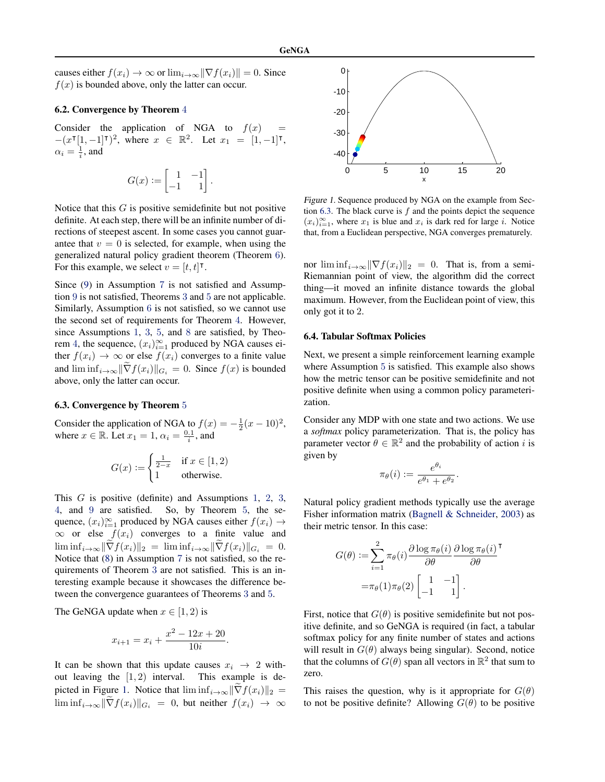<span id="page-6-0"></span>causes either  $f(x_i) \to \infty$  or  $\lim_{i \to \infty} ||\nabla f(x_i)|| = 0$ . Since  $f(x)$  is bounded above, only the latter can occur.

#### 6.2. Convergence by Theorem [4](#page-3-0)

Consider the application of NGA to  $f(x)$  $-(x^{\intercal}[1, -1]^{\intercal})^2$ , where  $x \in \mathbb{R}^2$ . Let  $x_1 = [1, -1]^{\intercal}$ ,  $\alpha_i = \frac{1}{i}$ , and

$$
G(x):=\begin{bmatrix} 1 & -1 \\ -1 & 1 \end{bmatrix}.
$$

Notice that this  $G$  is positive semidefinite but not positive definite. At each step, there will be an infinite number of directions of steepest ascent. In some cases you cannot guarantee that  $v = 0$  is selected, for example, when using the generalized natural policy gradient theorem (Theorem [6](#page-5-0)). For this example, we select  $v = [t, t]$ <sup>T</sup>.

Since [\(9\)](#page-3-0) in Assumption [7](#page-3-0) is not satisfied and Assumption [9](#page-4-0) is not satisfied, Theorems [3](#page-3-0) and [5](#page-5-0) are not applicable. Similarly, Assumption [6](#page-2-0) is not satisfied, so we cannot use the second set of requirements for Theorem [4](#page-3-0). However, since Assumptions [1](#page-0-0), [3](#page-1-0), [5](#page-1-0), and [8](#page-3-0) are satisfied, by Theo-rem [4](#page-3-0), the sequence,  $(x_i)_{i=1}^{\infty}$  produced by NGA causes either  $f(x_i) \to \infty$  or else  $f(x_i)$  converges to a finite value and  $\liminf_{i\to\infty} \|\widetilde{\nabla} f(x_i)\|_{G_i} = 0$ . Since  $f(x)$  is bounded above, only the latter can occur.

#### 6.3. Convergence by Theorem [5](#page-5-0)

Consider the application of NGA to  $f(x) = -\frac{1}{2}(x-10)^2$ , where  $x \in \mathbb{R}$ . Let  $x_1 = 1$ ,  $\alpha_i = \frac{0.1}{i}$ , and

$$
G(x) := \begin{cases} \frac{1}{2-x} & \text{if } x \in [1,2) \\ 1 & \text{otherwise.} \end{cases}
$$

This G is positive (definite) and Assumptions [1](#page-0-0), [2](#page-1-0), [3](#page-1-0), [4](#page-1-0), and [9](#page-4-0) are satisfied. So, by Theorem [5](#page-5-0), the sequence,  $(x_i)_{i=1}^{\infty}$  produced by NGA causes either  $f(x_i) \rightarrow$  $\infty$  or else  $f(x_i)$  converges to a finite value and  $\liminf_{i\to\infty} \|\widetilde{\nabla} f(x_i)\|_2 = \liminf_{i\to\infty} \|\widetilde{\nabla} f(x_i)\|_{G_i} = 0.$ Notice that [\(8\)](#page-3-0) in Assumption [7](#page-3-0) is not satisfied, so the requirements of Theorem [3](#page-3-0) are not satisfied. This is an interesting example because it showcases the difference between the convergence guarantees of Theorems [3](#page-3-0) and [5](#page-5-0).

The GeNGA update when  $x \in [1, 2)$  is

$$
x_{i+1} = x_i + \frac{x^2 - 12x + 20}{10i}
$$

.

It can be shown that this update causes  $x_i \rightarrow 2$  without leaving the  $[1, 2)$  interval. This example is depicted in Figure 1. Notice that  $\liminf_{i\to\infty} \|\nabla f(x_i)\|_2 =$  $\liminf_{i\to\infty} \|\nabla f(x_i)\|_{G_i} = 0$ , but neither  $f(x_i) \to \infty$ 



Figure 1. Sequence produced by NGA on the example from Section 6.3. The black curve is  $f$  and the points depict the sequence  $(x_i)_{i=1}^{\infty}$ , where  $x_1$  is blue and  $x_i$  is dark red for large i. Notice that, from a Euclidean perspective, NGA converges prematurely.

nor  $\liminf_{i\to\infty} \|\nabla f(x_i)\|_2 = 0$ . That is, from a semi-Riemannian point of view, the algorithm did the correct thing—it moved an infinite distance towards the global maximum. However, from the Euclidean point of view, this only got it to 2.

#### 6.4. Tabular Softmax Policies

Next, we present a simple reinforcement learning example where Assumption [5](#page-1-0) is satisfied. This example also shows how the metric tensor can be positive semidefinite and not positive definite when using a common policy parameterization.

Consider any MDP with one state and two actions. We use a *softmax* policy parameterization. That is, the policy has parameter vector  $\theta \in \mathbb{R}^2$  and the probability of action i is given by

$$
\pi_{\theta}(i) := \frac{e^{\theta_i}}{e^{\theta_1} + e^{\theta_2}}.
$$

Natural policy gradient methods typically use the average Fisher information matrix [\(Bagnell & Schneider,](#page-7-0) [2003\)](#page-7-0) as their metric tensor. In this case:

$$
G(\theta) := \sum_{i=1}^{2} \pi_{\theta}(i) \frac{\partial \log \pi_{\theta}(i)}{\partial \theta} \frac{\partial \log \pi_{\theta}(i)}{\partial \theta}^{\mathsf{T}}
$$

$$
= \pi_{\theta}(1)\pi_{\theta}(2) \begin{bmatrix} 1 & -1 \\ -1 & 1 \end{bmatrix}.
$$

First, notice that  $G(\theta)$  is positive semidefinite but not positive definite, and so GeNGA is required (in fact, a tabular softmax policy for any finite number of states and actions will result in  $G(\theta)$  always being singular). Second, notice that the columns of  $G(\theta)$  span all vectors in  $\mathbb{R}^2$  that sum to zero.

This raises the question, why is it appropriate for  $G(\theta)$ to not be positive definite? Allowing  $G(\theta)$  to be positive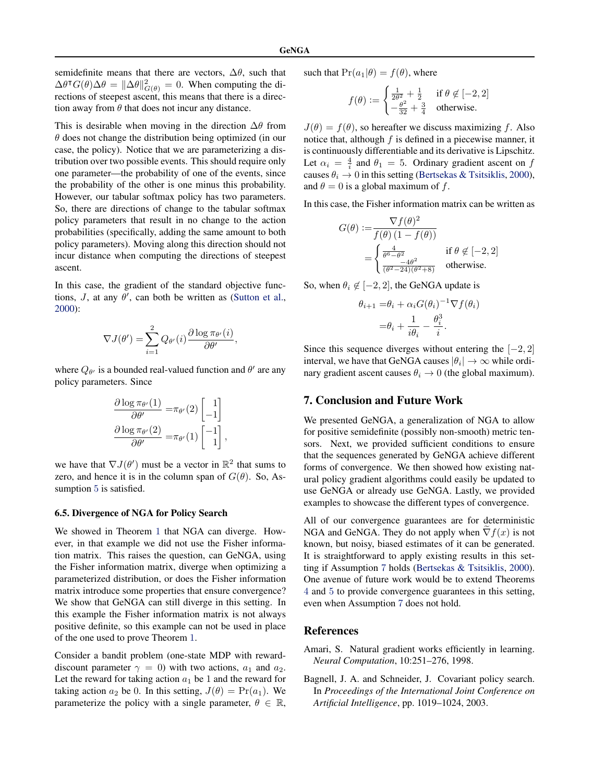<span id="page-7-0"></span>semidefinite means that there are vectors,  $\Delta\theta$ , such that  $\Delta\theta^\dagger G(\theta)\Delta\theta = \|\Delta\theta\|_{G(\theta)}^2 = 0$ . When computing the directions of steepest ascent, this means that there is a direction away from  $\theta$  that does not incur any distance.

This is desirable when moving in the direction  $\Delta\theta$  from  $\theta$  does not change the distribution being optimized (in our case, the policy). Notice that we are parameterizing a distribution over two possible events. This should require only one parameter—the probability of one of the events, since the probability of the other is one minus this probability. However, our tabular softmax policy has two parameters. So, there are directions of change to the tabular softmax policy parameters that result in no change to the action probabilities (specifically, adding the same amount to both policy parameters). Moving along this direction should not incur distance when computing the directions of steepest ascent.

In this case, the gradient of the standard objective functions,  $J$ , at any  $\theta'$ , can both be written as [\(Sutton et al.,](#page-8-0) [2000\)](#page-8-0):

$$
\nabla J(\theta') = \sum_{i=1}^{2} Q_{\theta'}(i) \frac{\partial \log \pi_{\theta'}(i)}{\partial \theta'},
$$

where  $Q_{\theta}$  is a bounded real-valued function and  $\theta'$  are any policy parameters. Since

$$
\frac{\partial \log \pi_{\theta'}(1)}{\partial \theta'} = \pi_{\theta'}(2) \begin{bmatrix} 1 \\ -1 \end{bmatrix}
$$

$$
\frac{\partial \log \pi_{\theta'}(2)}{\partial \theta'} = \pi_{\theta'}(1) \begin{bmatrix} -1 \\ 1 \end{bmatrix}
$$

,

we have that  $\nabla J(\theta')$  must be a vector in  $\mathbb{R}^2$  that sums to zero, and hence it is in the column span of  $G(\theta)$ . So, As-sumption [5](#page-1-0) is satisfied.

#### 6.5. Divergence of NGA for Policy Search

We showed in Theorem [1](#page-1-0) that NGA can diverge. However, in that example we did not use the Fisher information matrix. This raises the question, can GeNGA, using the Fisher information matrix, diverge when optimizing a parameterized distribution, or does the Fisher information matrix introduce some properties that ensure convergence? We show that GeNGA can still diverge in this setting. In this example the Fisher information matrix is not always positive definite, so this example can not be used in place of the one used to prove Theorem [1](#page-1-0).

Consider a bandit problem (one-state MDP with rewarddiscount parameter  $\gamma = 0$ ) with two actions,  $a_1$  and  $a_2$ . Let the reward for taking action  $a_1$  be 1 and the reward for taking action  $a_2$  be 0. In this setting,  $J(\theta) = Pr(a_1)$ . We parameterize the policy with a single parameter,  $\theta \in \mathbb{R}$ ,

such that  $Pr(a_1|\theta) = f(\theta)$ , where

$$
f(\theta) := \begin{cases} \frac{1}{2\theta^2} + \frac{1}{2} & \text{if } \theta \notin [-2, 2] \\ -\frac{\theta^2}{32} + \frac{3}{4} & \text{otherwise.} \end{cases}
$$

 $J(\theta) = f(\theta)$ , so hereafter we discuss maximizing f. Also notice that, although  $f$  is defined in a piecewise manner, it is continuously differentiable and its derivative is Lipschitz. Let  $\alpha_i = \frac{4}{i}$  and  $\theta_1 = 5$ . Ordinary gradient ascent on f causes  $\theta_i \rightarrow 0$  in this setting [\(Bertsekas & Tsitsiklis,](#page-8-0) [2000\)](#page-8-0), and  $\theta = 0$  is a global maximum of f.

In this case, the Fisher information matrix can be written as

$$
G(\theta) := \frac{\nabla f(\theta)^2}{f(\theta) (1 - f(\theta))}
$$
  
= 
$$
\begin{cases} \frac{4}{\theta^6 - \theta^2} & \text{if } \theta \notin [-2, 2] \\ \frac{-4\theta^2}{(\theta^2 - 24)(\theta^2 + 8)} & \text{otherwise.} \end{cases}
$$

So, when  $\theta_i \notin [-2, 2]$ , the GeNGA update is

$$
\theta_{i+1} = \theta_i + \alpha_i G(\theta_i)^{-1} \nabla f(\theta_i)
$$

$$
= \theta_i + \frac{1}{i\theta_i} - \frac{\theta_i^3}{i}.
$$

Since this sequence diverges without entering the  $[-2, 2]$ interval, we have that GeNGA causes  $|\theta_i| \to \infty$  while ordinary gradient ascent causes  $\theta_i \rightarrow 0$  (the global maximum).

#### 7. Conclusion and Future Work

We presented GeNGA, a generalization of NGA to allow for positive semidefinite (possibly non-smooth) metric tensors. Next, we provided sufficient conditions to ensure that the sequences generated by GeNGA achieve different forms of convergence. We then showed how existing natural policy gradient algorithms could easily be updated to use GeNGA or already use GeNGA. Lastly, we provided examples to showcase the different types of convergence.

All of our convergence guarantees are for deterministic NGA and GeNGA. They do not apply when  $\nabla f(x)$  is not known, but noisy, biased estimates of it can be generated. It is straightforward to apply existing results in this setting if Assumption [7](#page-3-0) holds [\(Bertsekas & Tsitsiklis,](#page-8-0) [2000\)](#page-8-0). One avenue of future work would be to extend Theorems [4](#page-3-0) and [5](#page-5-0) to provide convergence guarantees in this setting, even when Assumption [7](#page-3-0) does not hold.

#### References

- Amari, S. Natural gradient works efficiently in learning. *Neural Computation*, 10:251–276, 1998.
- Bagnell, J. A. and Schneider, J. Covariant policy search. In *Proceedings of the International Joint Conference on Artificial Intelligence*, pp. 1019–1024, 2003.